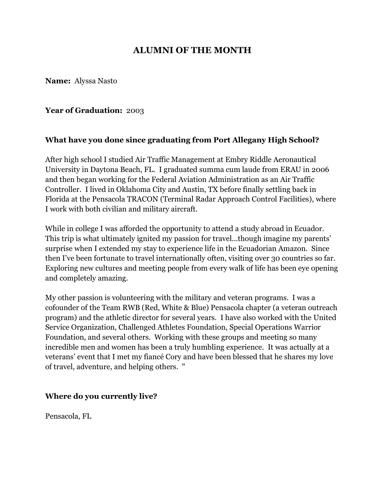# **ALUMNI OF THE MONTH**

**Name:** Alyssa Nasto

#### **Year of Graduation:** 2003

## **What have you done since graduating from Port Allegany High School?**

After high school I studied Air Traffic Management at Embry Riddle Aeronautical University in Daytona Beach, FL. I graduated summa cum laude from ERAU in 2006 and then began working for the Federal Aviation Administration as an Air Traffic Controller. I lived in Oklahoma City and Austin, TX before finally settling back in Florida at the Pensacola TRACON (Terminal Radar Approach Control Facilities), where I work with both civilian and military aircraft.

While in college I was afforded the opportunity to attend a study abroad in Ecuador. This trip is what ultimately ignited my passion for travel...though imagine my parents' surprise when I extended my stay to experience life in the Ecuadorian Amazon. Since then I've been fortunate to travel internationally often, visiting over 30 countries so far. Exploring new cultures and meeting people from every walk of life has been eye opening and completely amazing.

My other passion is volunteering with the military and veteran programs. I was a cofounder of the Team RWB (Red, White & Blue) Pensacola chapter (a veteran outreach program) and the athletic director for several years. I have also worked with the United Service Organization, Challenged Athletes Foundation, Special Operations Warrior Foundation, and several others. Working with these groups and meeting so many incredible men and women has been a truly humbling experience. It was actually at a veterans' event that I met my fiancé Cory and have been blessed that he shares my love of travel, adventure, and helping others. "

#### **Where do you currently live?**

Pensacola, FL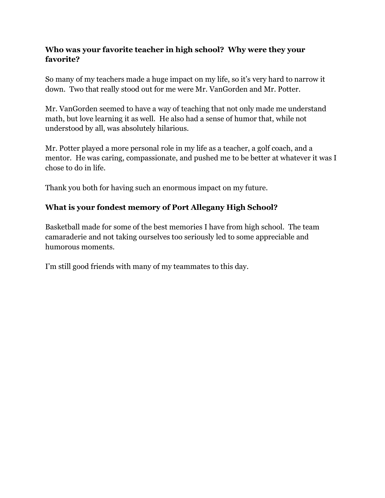## **Who was your favorite teacher in high school? Why were they your favorite?**

So many of my teachers made a huge impact on my life, so it's very hard to narrow it down. Two that really stood out for me were Mr. VanGorden and Mr. Potter.

Mr. VanGorden seemed to have a way of teaching that not only made me understand math, but love learning it as well. He also had a sense of humor that, while not understood by all, was absolutely hilarious.

Mr. Potter played a more personal role in my life as a teacher, a golf coach, and a mentor. He was caring, compassionate, and pushed me to be better at whatever it was I chose to do in life.

Thank you both for having such an enormous impact on my future.

## **What is your fondest memory of Port Allegany High School?**

Basketball made for some of the best memories I have from high school. The team camaraderie and not taking ourselves too seriously led to some appreciable and humorous moments.

I'm still good friends with many of my teammates to this day.